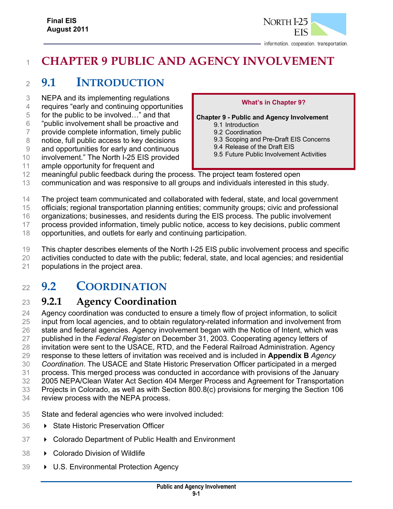

# **CHAPTER 9 PUBLIC AND AGENCY INVOLVEMENT**

# **9.1 INTRODUCTION**

- NEPA and its implementing regulations
- requires "early and continuing opportunities
- for the public to be involved…" and that
- "public involvement shall be proactive and
- provide complete information, timely public
- notice, full public access to key decisions
- and opportunities for early and continuous
- involvement." The North I-25 EIS provided
- ample opportunity for frequent and

#### **What's in Chapter 9?**

**Chapter 9 - Public and Agency Involvement** 

- 9.1 Introduction
- 9.2 Coordination
- 9.3 Scoping and Pre-Draft EIS Concerns
- 9.4 Release of the Draft EIS
- 9.5 Future Public Involvement Activities
- meaningful public feedback during the process. The project team fostered open
- communication and was responsive to all groups and individuals interested in this study.
- The project team communicated and collaborated with federal, state, and local government
- officials; regional transportation planning entities; community groups; civic and professional
- organizations; businesses, and residents during the EIS process. The public involvement
- process provided information, timely public notice, access to key decisions, public comment
- opportunities, and outlets for early and continuing participation.
- This chapter describes elements of the North I-25 EIS public involvement process and specific
- activities conducted to date with the public; federal, state, and local agencies; and residential
- populations in the project area.

# **9.2 COORDINATION**

# **9.2.1 Agency Coordination**

 Agency coordination was conducted to ensure a timely flow of project information, to solicit input from local agencies, and to obtain regulatory-related information and involvement from state and federal agencies. Agency involvement began with the Notice of Intent, which was published in the *Federal Register* on December 31, 2003. Cooperating agency letters of invitation were sent to the USACE, RTD, and the Federal Railroad Administration. Agency response to these letters of invitation was received and is included in **Appendix B** *Agency Coordination*. The USACE and State Historic Preservation Officer participated in a merged process. This merged process was conducted in accordance with provisions of the January 2005 NEPA/Clean Water Act Section 404 Merger Process and Agreement for Transportation Projects in Colorado, as well as with Section 800.8(c) provisions for merging the Section 106

- review process with the NEPA process.
- State and federal agencies who were involved included:
- State Historic Preservation Officer
- Colorado Department of Public Health and Environment
- Colorado Division of Wildlife
- U.S. Environmental Protection Agency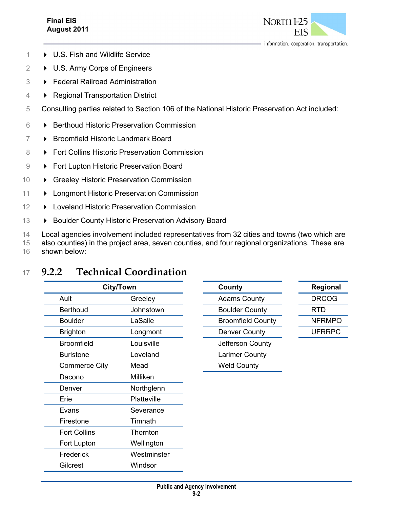### **Final EIS August 2011**



- 1 U.S. Fish and Wildlife Service
- 2 **→ U.S. Army Corps of Engineers**
- 3 Federal Railroad Administration
- 4  **Regional Transportation District**
- 5 Consulting parties related to Section 106 of the National Historic Preservation Act included:
- 6 Berthoud Historic Preservation Commission
- 7 Broomfield Historic Landmark Board
- 8 **Fort Collins Historic Preservation Commission**
- 9 **Fort Lupton Historic Preservation Board**
- 10 **F** Greeley Historic Preservation Commission
- 11 > Longmont Historic Preservation Commission
- 12 **D** Loveland Historic Preservation Commission
- 13 **Boulder County Historic Preservation Advisory Board**

14 Local agencies involvement included representatives from 32 cities and towns (two which are

15 also counties) in the project area, seven counties, and four regional organizations. These are

16 shown below:

# <sup>17</sup> **9.2.2 Technical Coordination**

| <b>City/Town</b>    |             | County                   | Regional      |
|---------------------|-------------|--------------------------|---------------|
| Ault                | Greeley     | <b>Adams County</b>      | <b>DRCOG</b>  |
| <b>Berthoud</b>     | Johnstown   | <b>Boulder County</b>    | <b>RTD</b>    |
| <b>Boulder</b>      | LaSalle     | <b>Broomfield County</b> | <b>NFRMPO</b> |
| <b>Brighton</b>     | Longmont    | <b>Denver County</b>     | <b>UFRRPC</b> |
| <b>Broomfield</b>   | Louisville  | Jefferson County         |               |
| <b>Burlstone</b>    | Loveland    | Larimer County           |               |
| Commerce City       | Mead        | <b>Weld County</b>       |               |
| Dacono              | Milliken    |                          |               |
| Denver              | Northglenn  |                          |               |
| Erie                | Platteville |                          |               |
| Evans               | Severance   |                          |               |
| Firestone           | Timnath     |                          |               |
| <b>Fort Collins</b> | Thornton    |                          |               |
| Fort Lupton         | Wellington  |                          |               |
| Frederick           | Westminster |                          |               |
| <b>Gilcrest</b>     | Windsor     |                          |               |

| County                   |
|--------------------------|
| <b>Adams County</b>      |
| <b>Boulder County</b>    |
| <b>Broomfield County</b> |
| <b>Denver County</b>     |
| Jefferson County         |
| <b>Larimer County</b>    |
| Weld Countv              |

| Regional |  |
|----------|--|
| DRCOG    |  |
| RTD      |  |
| NFRMPO   |  |
| UFRRPC   |  |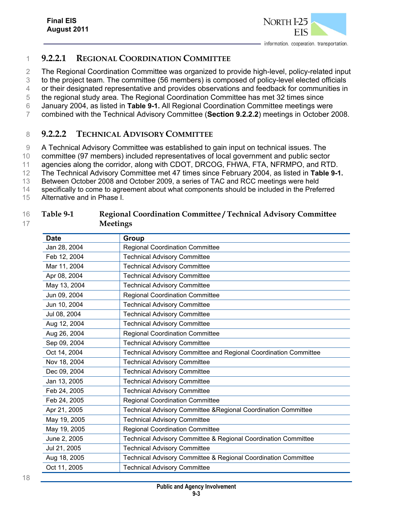

### 1 **9.2.2.1 REGIONAL COORDINATION COMMITTEE**

2 The Regional Coordination Committee was organized to provide high-level, policy-related input

3 to the project team. The committee (56 members) is composed of policy-level elected officials

4 or their designated representative and provides observations and feedback for communities in

5 the regional study area. The Regional Coordination Committee has met 32 times since

6 January 2004, as listed in **Table 9-1.** All Regional Coordination Committee meetings were 7 combined with the Technical Advisory Committee (**Section 9.2.2.2**) meetings in October 2008.

### 8 **9.2.2.2 TECHNICAL ADVISORY COMMITTEE**

9 A Technical Advisory Committee was established to gain input on technical issues. The

10 committee (97 members) included representatives of local government and public sector

11 agencies along the corridor, along with CDOT, DRCOG, FHWA, FTA, NFRMPO, and RTD.

12 The Technical Advisory Committee met 47 times since February 2004, as listed in **Table 9-1.** 

13 Between October 2008 and October 2009, a series of TAC and RCC meetings were held

14 specifically to come to agreement about what components should be included in the Preferred

15 Alternative and in Phase I.

#### 16 **Table 9-1 Regional Coordination Committee / Technical Advisory Committee**  17 **Meetings**

| <b>Date</b>  | <b>Group</b>                                                     |
|--------------|------------------------------------------------------------------|
| Jan 28, 2004 | <b>Regional Coordination Committee</b>                           |
| Feb 12, 2004 | <b>Technical Advisory Committee</b>                              |
| Mar 11, 2004 | <b>Technical Advisory Committee</b>                              |
| Apr 08, 2004 | <b>Technical Advisory Committee</b>                              |
| May 13, 2004 | <b>Technical Advisory Committee</b>                              |
| Jun 09, 2004 | <b>Regional Coordination Committee</b>                           |
| Jun 10, 2004 | <b>Technical Advisory Committee</b>                              |
| Jul 08, 2004 | <b>Technical Advisory Committee</b>                              |
| Aug 12, 2004 | <b>Technical Advisory Committee</b>                              |
| Aug 26, 2004 | <b>Regional Coordination Committee</b>                           |
| Sep 09, 2004 | <b>Technical Advisory Committee</b>                              |
| Oct 14, 2004 | Technical Advisory Committee and Regional Coordination Committee |
| Nov 18, 2004 | <b>Technical Advisory Committee</b>                              |
| Dec 09, 2004 | <b>Technical Advisory Committee</b>                              |
| Jan 13, 2005 | <b>Technical Advisory Committee</b>                              |
| Feb 24, 2005 | <b>Technical Advisory Committee</b>                              |
| Feb 24, 2005 | <b>Regional Coordination Committee</b>                           |
| Apr 21, 2005 | Technical Advisory Committee & Regional Coordination Committee   |
| May 19, 2005 | <b>Technical Advisory Committee</b>                              |
| May 19, 2005 | <b>Regional Coordination Committee</b>                           |
| June 2, 2005 | Technical Advisory Committee & Regional Coordination Committee   |
| Jul 21, 2005 | <b>Technical Advisory Committee</b>                              |
| Aug 18, 2005 | Technical Advisory Committee & Regional Coordination Committee   |
| Oct 11, 2005 | <b>Technical Advisory Committee</b>                              |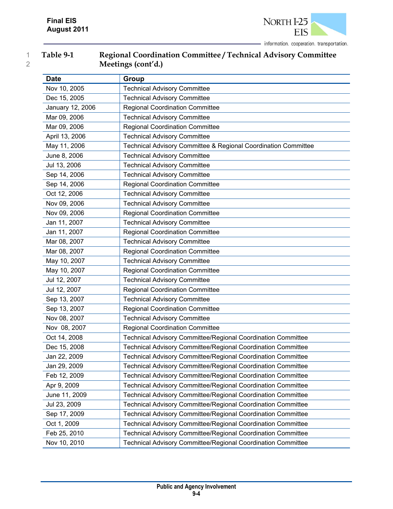

| Table 9-1 | Regional Coordination Committee / Technical Advisory Committee |
|-----------|----------------------------------------------------------------|
|           | Meetings (cont'd.)                                             |

| <b>Date</b>      | Group                                                               |
|------------------|---------------------------------------------------------------------|
| Nov 10, 2005     | <b>Technical Advisory Committee</b>                                 |
| Dec 15, 2005     | <b>Technical Advisory Committee</b>                                 |
| January 12, 2006 | <b>Regional Coordination Committee</b>                              |
| Mar 09, 2006     | <b>Technical Advisory Committee</b>                                 |
| Mar 09, 2006     | <b>Regional Coordination Committee</b>                              |
| April 13, 2006   | <b>Technical Advisory Committee</b>                                 |
| May 11, 2006     | Technical Advisory Committee & Regional Coordination Committee      |
| June 8, 2006     | <b>Technical Advisory Committee</b>                                 |
| Jul 13, 2006     | <b>Technical Advisory Committee</b>                                 |
| Sep 14, 2006     | <b>Technical Advisory Committee</b>                                 |
| Sep 14, 2006     | <b>Regional Coordination Committee</b>                              |
| Oct 12, 2006     | <b>Technical Advisory Committee</b>                                 |
| Nov 09, 2006     | <b>Technical Advisory Committee</b>                                 |
| Nov 09, 2006     | <b>Regional Coordination Committee</b>                              |
| Jan 11, 2007     | <b>Technical Advisory Committee</b>                                 |
| Jan 11, 2007     | <b>Regional Coordination Committee</b>                              |
| Mar 08, 2007     | <b>Technical Advisory Committee</b>                                 |
| Mar 08, 2007     | <b>Regional Coordination Committee</b>                              |
| May 10, 2007     | <b>Technical Advisory Committee</b>                                 |
| May 10, 2007     | <b>Regional Coordination Committee</b>                              |
| Jul 12, 2007     | <b>Technical Advisory Committee</b>                                 |
| Jul 12, 2007     | <b>Regional Coordination Committee</b>                              |
| Sep 13, 2007     | <b>Technical Advisory Committee</b>                                 |
| Sep 13, 2007     | <b>Regional Coordination Committee</b>                              |
| Nov 08, 2007     | <b>Technical Advisory Committee</b>                                 |
| Nov 08, 2007     | <b>Regional Coordination Committee</b>                              |
| Oct 14, 2008     | Technical Advisory Committee/Regional Coordination Committee        |
| Dec 15, 2008     | Technical Advisory Committee/Regional Coordination Committee        |
| Jan 22, 2009     | Technical Advisory Committee/Regional Coordination Committee        |
| Jan 29, 2009     | <b>Technical Advisory Committee/Regional Coordination Committee</b> |
| Feb 12, 2009     | Technical Advisory Committee/Regional Coordination Committee        |
| Apr 9, 2009      | <b>Technical Advisory Committee/Regional Coordination Committee</b> |
| June 11, 2009    | Technical Advisory Committee/Regional Coordination Committee        |
| Jul 23, 2009     | Technical Advisory Committee/Regional Coordination Committee        |
| Sep 17, 2009     | Technical Advisory Committee/Regional Coordination Committee        |
| Oct 1, 2009      | <b>Technical Advisory Committee/Regional Coordination Committee</b> |
| Feb 25, 2010     | Technical Advisory Committee/Regional Coordination Committee        |
| Nov 10, 2010     | Technical Advisory Committee/Regional Coordination Committee        |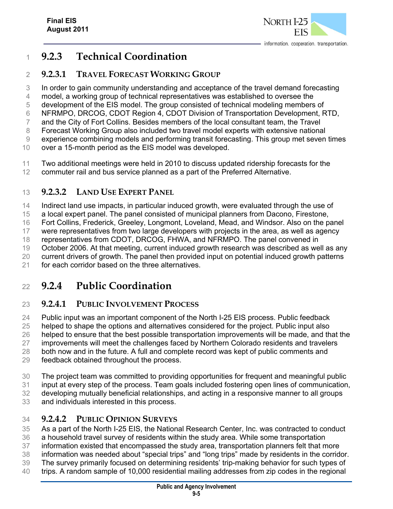

## **9.2.3 Technical Coordination**

### **9.2.3.1 TRAVEL FORECAST WORKING GROUP**

In order to gain community understanding and acceptance of the travel demand forecasting

model, a working group of technical representatives was established to oversee the

development of the EIS model. The group consisted of technical modeling members of

 NFRMPO, DRCOG, CDOT Region 4, CDOT Division of Transportation Development, RTD, and the City of Fort Collins. Besides members of the local consultant team, the Travel

Forecast Working Group also included two travel model experts with extensive national

experience combining models and performing transit forecasting. This group met seven times

over a 15-month period as the EIS model was developed.

 Two additional meetings were held in 2010 to discuss updated ridership forecasts for the commuter rail and bus service planned as a part of the Preferred Alternative.

## **9.2.3.2 LAND USE EXPERT PANEL**

Indirect land use impacts, in particular induced growth, were evaluated through the use of

a local expert panel. The panel consisted of municipal planners from Dacono, Firestone,

Fort Collins, Frederick, Greeley, Longmont, Loveland, Mead, and Windsor. Also on the panel

were representatives from two large developers with projects in the area, as well as agency

representatives from CDOT, DRCOG, FHWA, and NFRMPO. The panel convened in

October 2006. At that meeting, current induced growth research was described as well as any

current drivers of growth. The panel then provided input on potential induced growth patterns

for each corridor based on the three alternatives.

# **9.2.4 Public Coordination**

## **9.2.4.1 PUBLIC INVOLVEMENT PROCESS**

 Public input was an important component of the North I-25 EIS process. Public feedback helped to shape the options and alternatives considered for the project. Public input also 26 helped to ensure that the best possible transportation improvements will be made, and that the 27 improvements will meet the challenges faced by Northern Colorado residents and travelers both now and in the future. A full and complete record was kept of public comments and feedback obtained throughout the process.

- 
- The project team was committed to providing opportunities for frequent and meaningful public

input at every step of the process. Team goals included fostering open lines of communication,

developing mutually beneficial relationships, and acting in a responsive manner to all groups

and individuals interested in this process.

## **9.2.4.2 PUBLIC OPINION SURVEYS**

As a part of the North I-25 EIS, the National Research Center, Inc. was contracted to conduct

- a household travel survey of residents within the study area. While some transportation
- information existed that encompassed the study area, transportation planners felt that more information was needed about "special trips" and "long trips" made by residents in the corridor.
- The survey primarily focused on determining residents' trip-making behavior for such types of
- trips. A random sample of 10,000 residential mailing addresses from zip codes in the regional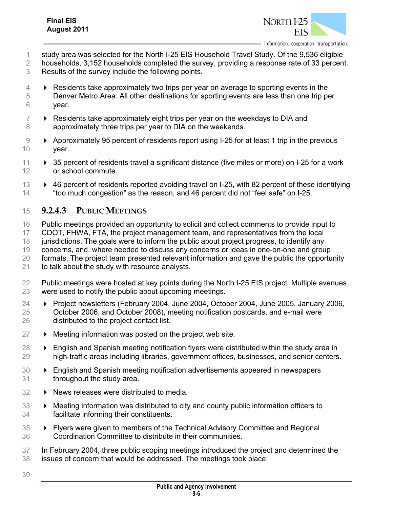

- study area was selected for the North I-25 EIS Household Travel Study. Of the 9,536 eligible
- households, 3,152 households completed the survey, providing a response rate of 33 percent.
- Results of the survey include the following points.
- $4 \rightarrow$  Residents take approximately two trips per year on average to sporting events in the Denver Metro Area. All other destinations for sporting events are less than one trip per year.
- $7 \rightarrow$  Residents take approximately eight trips per year on the weekdays to DIA and approximately three trips per year to DIA on the weekends.
- 9 Approximately 95 percent of residents report using I-25 for at least 1 trip in the previous year.
- 11  $\rightarrow$  35 percent of residents travel a significant distance (five miles or more) on I-25 for a work or school commute.
- **EXECUTE:** 46 percent of residents reported avoiding travel on I-25, with 82 percent of these identifying "too much congestion" as the reason, and 46 percent did not "feel safe" on I-25.

#### **9.2.4.3 PUBLIC MEETINGS**

- Public meetings provided an opportunity to solicit and collect comments to provide input to CDOT, FHWA, FTA, the project management team, and representatives from the local 18 jurisdictions. The goals were to inform the public about project progress, to identify any concerns, and, where needed to discuss any concerns or ideas in one-on-one and group formats. The project team presented relevant information and gave the public the opportunity to talk about the study with resource analysts.
- Public meetings were hosted at key points during the North I-25 EIS project. Multiple avenues were used to notify the public about upcoming meetings.
- Project newsletters (February 2004, June 2004, October 2004, June 2005, January 2006, October 2006, and October 2008), meeting notification postcards, and e-mail were distributed to the project contact list.
- $27 \rightarrow$  Meeting information was posted on the project web site.
- English and Spanish meeting notification flyers were distributed within the study area in high-traffic areas including libraries, government offices, businesses, and senior centers.
- English and Spanish meeting notification advertisements appeared in newspapers throughout the study area.
- 32 > News releases were distributed to media.
- Meeting information was distributed to city and county public information officers to facilitate informing their constituents.
- Flyers were given to members of the Technical Advisory Committee and Regional Coordination Committee to distribute in their communities.
- In February 2004, three public scoping meetings introduced the project and determined the issues of concern that would be addressed. The meetings took place: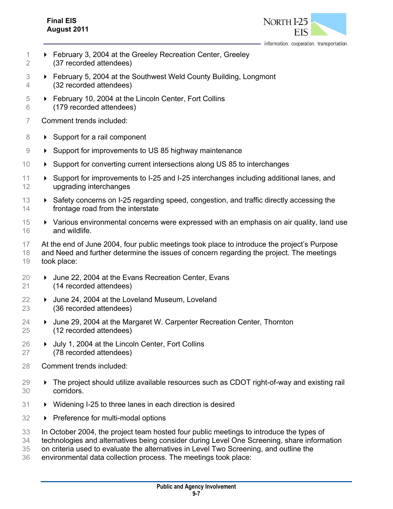

information. cooperation. transportation.

- February 3, 2004 at the Greeley Recreation Center, Greeley (37 recorded attendees)
- February 5, 2004 at the Southwest Weld County Building, Longmont (32 recorded attendees)
- February 10, 2004 at the Lincoln Center, Fort Collins (179 recorded attendees)
- Comment trends included:
- 8 > Support for a rail component
- 9 Support for improvements to US 85 highway maintenance
- Support for converting current intersections along US 85 to interchanges
- Support for improvements to I-25 and I-25 interchanges including additional lanes, and upgrading interchanges
- 13 Example 3 Safety concerns on I-25 regarding speed, congestion, and traffic directly accessing the frontage road from the interstate
- **Various environmental concerns were expressed with an emphasis on air quality, land use** and wildlife.
- At the end of June 2004, four public meetings took place to introduce the project's Purpose
- and Need and further determine the issues of concern regarding the project. The meetings took place:
- 20 → June 22, 2004 at the Evans Recreation Center, Evans (14 recorded attendees)
- 22 → June 24, 2004 at the Loveland Museum, Loveland (36 recorded attendees)
- **→** June 29, 2004 at the Margaret W. Carpenter Recreation Center, Thornton (12 recorded attendees)
- **Deciment 1.2004 at the Lincoln Center, Fort Collins** (78 recorded attendees)
- Comment trends included:
- The project should utilize available resources such as CDOT right-of-way and existing rail corridors.
- Widening I-25 to three lanes in each direction is desired
- 32 > Preference for multi-modal options
- In October 2004, the project team hosted four public meetings to introduce the types of
- technologies and alternatives being consider during Level One Screening, share information
- on criteria used to evaluate the alternatives in Level Two Screening, and outline the
- environmental data collection process. The meetings took place: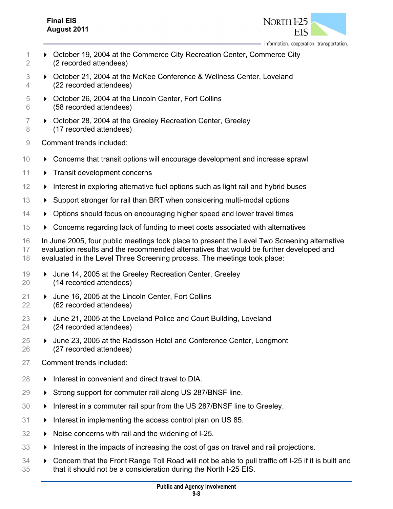#### **Final EIS August 2011**



information. cooperation. transportation.

- 1 October 19, 2004 at the Commerce City Recreation Center, Commerce City 2 (2 recorded attendees)
- 3 ► October 21, 2004 at the McKee Conference & Wellness Center, Loveland 4 (22 recorded attendees)
- 5 October 26, 2004 at the Lincoln Center, Fort Collins 6 (58 recorded attendees)
- $7 \rightarrow$  October 28, 2004 at the Greeley Recreation Center, Greeley 8 (17 recorded attendees)
- 9 Comment trends included:
- 10 Concerns that transit options will encourage development and increase sprawl
- 11 > Transit development concerns
- $12 \rightarrow$  Interest in exploring alternative fuel options such as light rail and hybrid buses
- 13 > Support stronger for rail than BRT when considering multi-modal options
- 14 > Options should focus on encouraging higher speed and lower travel times
- 15 Concerns regarding lack of funding to meet costs associated with alternatives
- 16 In June 2005, four public meetings took place to present the Level Two Screening alternative 17 evaluation results and the recommended alternatives that would be further developed and 18 evaluated in the Level Three Screening process. The meetings took place:
- 19 June 14, 2005 at the Greeley Recreation Center, Greeley 20 (14 recorded attendees)
- 21 → June 16, 2005 at the Lincoln Center, Fort Collins 22 (62 recorded attendees)
- 23  $\rightarrow$  June 21, 2005 at the Loveland Police and Court Building, Loveland 24 (24 recorded attendees)
- 25 **→** June 23, 2005 at the Radisson Hotel and Conference Center, Longmont 26 (27 recorded attendees)
- 27 Comment trends included:
- $28 \rightarrow$  Interest in convenient and direct travel to DIA.
- 29 > Strong support for commuter rail along US 287/BNSF line.
- 30 > Interest in a commuter rail spur from the US 287/BNSF line to Greeley.
- $31 \rightarrow$  Interest in implementing the access control plan on US 85.
- 32 > Noise concerns with rail and the widening of I-25.
- 33 > Interest in the impacts of increasing the cost of gas on travel and rail projections.
- 34 Concern that the Front Range Toll Road will not be able to pull traffic off I-25 if it is built and 35 that it should not be a consideration during the North I-25 EIS.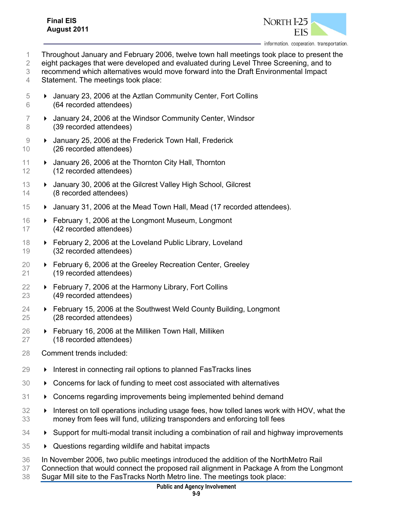

Throughout January and February 2006, twelve town hall meetings took place to present the

2 eight packages that were developed and evaluated during Level Three Screening, and to

recommend which alternatives would move forward into the Draft Environmental Impact

Statement. The meetings took place:

- January 23, 2006 at the Aztlan Community Center, Fort Collins (64 recorded attendees)
- 7 > January 24, 2006 at the Windsor Community Center, Windsor (39 recorded attendees)
- **January 25, 2006 at the Frederick Town Hall, Frederick** (26 recorded attendees)
- 11 > January 26, 2006 at the Thornton City Hall, Thornton (12 recorded attendees)
- **De** January 30, 2006 at the Gilcrest Valley High School, Gilcrest (8 recorded attendees)
- **Example 2** January 31, 2006 at the Mead Town Hall, Mead (17 recorded attendees).
- February 1, 2006 at the Longmont Museum, Longmont (42 recorded attendees)
- **February 2, 2006 at the Loveland Public Library, Loveland** (32 recorded attendees)
- February 6, 2006 at the Greeley Recreation Center, Greeley (19 recorded attendees)
- 22 ► February 7, 2006 at the Harmony Library, Fort Collins (49 recorded attendees)
- **► February 15, 2006 at the Southwest Weld County Building, Longmont** (28 recorded attendees)
- February 16, 2006 at the Milliken Town Hall, Milliken (18 recorded attendees)
- Comment trends included:
- $29 \rightarrow$  Interest in connecting rail options to planned FasTracks lines
- Concerns for lack of funding to meet cost associated with alternatives
- Concerns regarding improvements being implemented behind demand
- **IF** Interest on toll operations including usage fees, how tolled lanes work with HOV, what the money from fees will fund, utilizing transponders and enforcing toll fees
- Support for multi-modal transit including a combination of rail and highway improvements
- Questions regarding wildlife and habitat impacts
- In November 2006, two public meetings introduced the addition of the NorthMetro Rail
- Connection that would connect the proposed rail alignment in Package A from the Longmont
- Sugar Mill site to the FasTracks North Metro line. The meetings took place: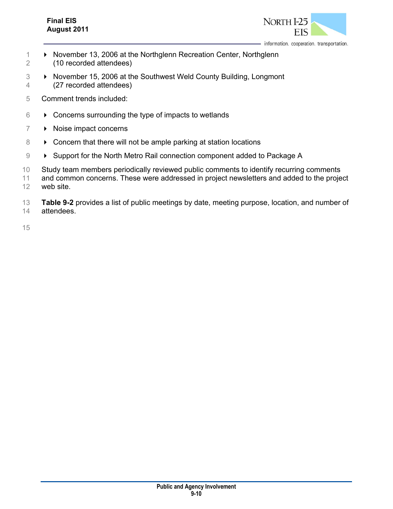#### **Final EIS August 2011**



information. cooperation. transportation.

- 1 **November 13, 2006 at the Northglenn Recreation Center, Northglenn** 2 (10 recorded attendees)
- 3 November 15, 2006 at the Southwest Weld County Building, Longmont 4 (27 recorded attendees)
- 5 Comment trends included:
- $6 \rightarrow$  Concerns surrounding the type of impacts to wetlands
- 7 Noise impact concerns
- 8 **EX** Concern that there will not be ample parking at station locations
- 9 > Support for the North Metro Rail connection component added to Package A
- 10 Study team members periodically reviewed public comments to identify recurring comments
- 11 and common concerns. These were addressed in project newsletters and added to the project 12 web site.
- 13 **Table 9-2** provides a list of public meetings by date, meeting purpose, location, and number of 14 attendees.

15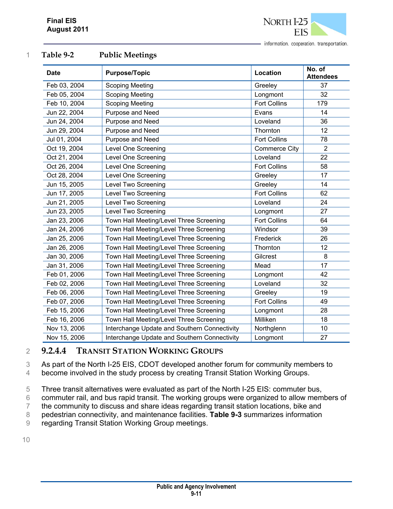

| <b>Date</b>  | <b>Purpose/Topic</b>                         | Location             | No. of<br><b>Attendees</b> |
|--------------|----------------------------------------------|----------------------|----------------------------|
| Feb 03, 2004 | <b>Scoping Meeting</b>                       | Greeley              | 37                         |
| Feb 05, 2004 | <b>Scoping Meeting</b>                       | Longmont             | 32                         |
| Feb 10, 2004 | <b>Scoping Meeting</b>                       | <b>Fort Collins</b>  | 179                        |
| Jun 22, 2004 | Purpose and Need                             | Evans                | 14                         |
| Jun 24, 2004 | Purpose and Need                             | Loveland             | 36                         |
| Jun 29, 2004 | Purpose and Need                             | Thornton             | 12                         |
| Jul 01, 2004 | Purpose and Need                             | <b>Fort Collins</b>  | 78                         |
| Oct 19, 2004 | Level One Screening                          | <b>Commerce City</b> | $\overline{2}$             |
| Oct 21, 2004 | Level One Screening                          | Loveland             | 22                         |
| Oct 26, 2004 | Level One Screening                          | <b>Fort Collins</b>  | 58                         |
| Oct 28, 2004 | Level One Screening                          | Greeley              | 17                         |
| Jun 15, 2005 | Level Two Screening                          | Greeley              | 14                         |
| Jun 17, 2005 | Level Two Screening                          | <b>Fort Collins</b>  | 62                         |
| Jun 21, 2005 | Level Two Screening                          | Loveland             | 24                         |
| Jun 23, 2005 | Level Two Screening                          | Longmont             | 27                         |
| Jan 23, 2006 | Town Hall Meeting/Level Three Screening      | <b>Fort Collins</b>  | 64                         |
| Jan 24, 2006 | Town Hall Meeting/Level Three Screening      | Windsor              | 39                         |
| Jan 25, 2006 | Town Hall Meeting/Level Three Screening      | Frederick            | 26                         |
| Jan 26, 2006 | Town Hall Meeting/Level Three Screening      | Thornton             | 12                         |
| Jan 30, 2006 | Town Hall Meeting/Level Three Screening      | Gilcrest             | 8                          |
| Jan 31, 2006 | Town Hall Meeting/Level Three Screening      | Mead                 | 17                         |
| Feb 01, 2006 | Town Hall Meeting/Level Three Screening      | Longmont             | 42                         |
| Feb 02, 2006 | Town Hall Meeting/Level Three Screening      | Loveland             | 32                         |
| Feb 06, 2006 | Town Hall Meeting/Level Three Screening      | Greeley              | 19                         |
| Feb 07, 2006 | Town Hall Meeting/Level Three Screening      | <b>Fort Collins</b>  | 49                         |
| Feb 15, 2006 | Town Hall Meeting/Level Three Screening      | Longmont             | 28                         |
| Feb 16, 2006 | Town Hall Meeting/Level Three Screening      | Milliken             | 18                         |
| Nov 13, 2006 | Interchange Update and Southern Connectivity | Northglenn           | 10                         |
| Nov 15, 2006 | Interchange Update and Southern Connectivity | Longmont             | 27                         |

#### 1 **Table 9-2 Public Meetings**

#### 2 **9.2.4.4 TRANSIT STATION WORKING GROUPS**

3 As part of the North I-25 EIS, CDOT developed another forum for community members to

4 become involved in the study process by creating Transit Station Working Groups.

5 Three transit alternatives were evaluated as part of the North I-25 EIS: commuter bus,

6 commuter rail, and bus rapid transit. The working groups were organized to allow members of

7 the community to discuss and share ideas regarding transit station locations, bike and

8 pedestrian connectivity, and maintenance facilities. **Table 9-3** summarizes information

9 regarding Transit Station Working Group meetings.

10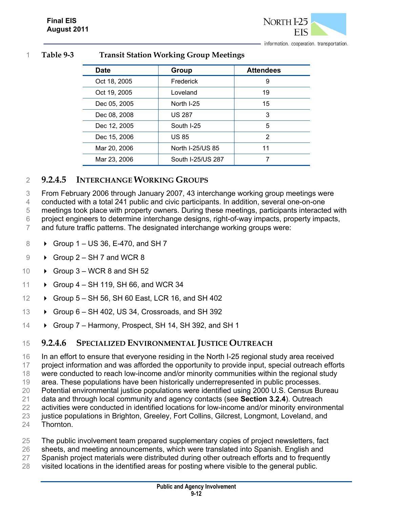

1 **Table 9-3 Transit Station Working Group Meetings** 

| <b>Date</b>  | Group             | <b>Attendees</b> |
|--------------|-------------------|------------------|
| Oct 18, 2005 | Frederick         | 9                |
| Oct 19, 2005 | Loveland          | 19               |
| Dec 05, 2005 | North I-25        | 15               |
| Dec 08, 2008 | <b>US 287</b>     | 3                |
| Dec 12, 2005 | South I-25        | 5                |
| Dec 15, 2006 | <b>US 85</b>      | 2                |
| Mar 20, 2006 | North I-25/US 85  | 11               |
| Mar 23, 2006 | South I-25/US 287 |                  |

### 2 **9.2.4.5 INTERCHANGE WORKING GROUPS**

3 From February 2006 through January 2007, 43 interchange working group meetings were

4 conducted with a total 241 public and civic participants. In addition, several one-on-one

5 meetings took place with property owners. During these meetings, participants interacted with

6 project engineers to determine interchange designs, right-of-way impacts, property impacts,

7 and future traffic patterns. The designated interchange working groups were:

- 8 Group 1 US 36, E-470, and SH 7
- $9 \rightarrow$  Group 2 SH 7 and WCR 8
- 10  $\rightarrow$  Group 3 WCR 8 and SH 52
- 11 Group 4 SH 119, SH 66, and WCR 34
- 12  $\rightarrow$  Group 5 SH 56, SH 60 East, LCR 16, and SH 402
- 13 Group 6 SH 402, US 34, Crossroads, and SH 392
- 14 Group 7 Harmony, Prospect, SH 14, SH 392, and SH 1

#### 15 **9.2.4.6 SPECIALIZED ENVIRONMENTAL JUSTICE OUTREACH**

 In an effort to ensure that everyone residing in the North I-25 regional study area received 17 project information and was afforded the opportunity to provide input, special outreach efforts were conducted to reach low-income and/or minority communities within the regional study area. These populations have been historically underrepresented in public processes. Potential environmental justice populations were identified using 2000 U.S. Census Bureau data and through local community and agency contacts (see **Section 3.2.4**). Outreach activities were conducted in identified locations for low-income and/or minority environmental justice populations in Brighton, Greeley, Fort Collins, Gilcrest, Longmont, Loveland, and Thornton.

- 25 The public involvement team prepared supplementary copies of project newsletters, fact
- 26 sheets, and meeting announcements, which were translated into Spanish. English and
- 27 Spanish project materials were distributed during other outreach efforts and to frequently
- 28 visited locations in the identified areas for posting where visible to the general public.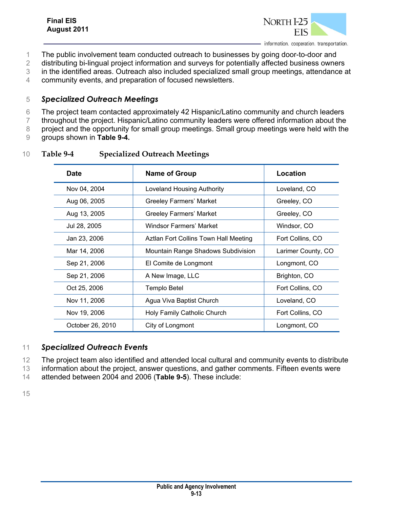

- 1 The public involvement team conducted outreach to businesses by going door-to-door and
- 2 distributing bi-lingual project information and surveys for potentially affected business owners
- 3 in the identified areas. Outreach also included specialized small group meetings, attendance at
- 4 community events, and preparation of focused newsletters.

#### 5 *Specialized Outreach Meetings*

- 6 The project team contacted approximately 42 Hispanic/Latino community and church leaders
- 7 throughout the project. Hispanic/Latino community leaders were offered information about the

8 project and the opportunity for small group meetings. Small group meetings were held with the

9 groups shown in **Table 9-4.**

#### 10 **Table 9-4 Specialized Outreach Meetings**

| <b>Date</b>      | <b>Name of Group</b>                      | Location           |
|------------------|-------------------------------------------|--------------------|
| Nov 04, 2004     | <b>Loveland Housing Authority</b>         | Loveland, CO       |
| Aug 06, 2005     | <b>Greeley Farmers' Market</b>            | Greeley, CO        |
| Aug 13, 2005     | <b>Greeley Farmers' Market</b>            | Greeley, CO        |
| Jul 28, 2005     | Windsor Farmers' Market                   | Windsor, CO        |
| Jan 23, 2006     | Aztlan Fort Collins Town Hall Meeting     | Fort Collins, CO   |
| Mar 14, 2006     | <b>Mountain Range Shadows Subdivision</b> | Larimer County, CO |
| Sep 21, 2006     | El Comite de Longmont                     | Longmont, CO       |
| Sep 21, 2006     | A New Image, LLC                          | Brighton, CO       |
| Oct 25, 2006     | Templo Betel                              | Fort Collins, CO   |
| Nov 11, 2006     | Agua Viva Baptist Church                  | Loveland, CO       |
| Nov 19, 2006     | Holy Family Catholic Church               | Fort Collins, CO   |
| October 26, 2010 | City of Longmont                          | Longmont, CO       |

#### 11 *Specialized Outreach Events*

- 12 The project team also identified and attended local cultural and community events to distribute
- 13 information about the project, answer questions, and gather comments. Fifteen events were

14 attended between 2004 and 2006 (**Table 9-5**). These include:

15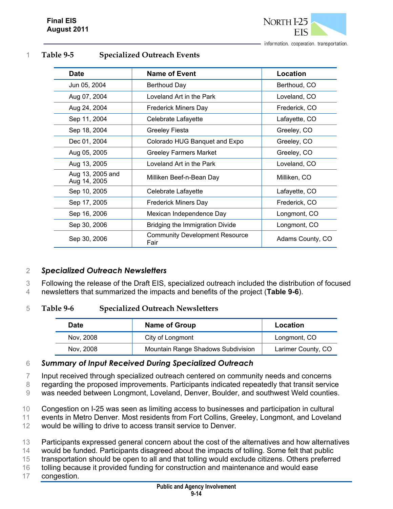

1 **Table 9-5 Specialized Outreach Events** 

| <b>Date</b>                      | <b>Name of Event</b>                          | <b>Location</b>  |
|----------------------------------|-----------------------------------------------|------------------|
| Jun 05, 2004                     | Berthoud Day                                  | Berthoud, CO     |
| Aug 07, 2004                     | Loveland Art in the Park                      | Loveland, CO     |
| Aug 24, 2004                     | <b>Frederick Miners Day</b>                   | Frederick, CO    |
| Sep 11, 2004                     | Celebrate Lafayette                           | Lafayette, CO    |
| Sep 18, 2004                     | <b>Greeley Fiesta</b>                         | Greeley, CO      |
| Dec 01, 2004                     | Colorado HUG Banquet and Expo                 | Greeley, CO      |
| Aug 05, 2005                     | <b>Greeley Farmers Market</b>                 | Greeley, CO      |
| Aug 13, 2005                     | Loveland Art in the Park                      | Loveland, CO     |
| Aug 13, 2005 and<br>Aug 14, 2005 | Milliken Beef-n-Bean Day                      | Milliken, CO     |
| Sep 10, 2005                     | Celebrate Lafayette                           | Lafayette, CO    |
| Sep 17, 2005                     | <b>Frederick Miners Day</b>                   | Frederick, CO    |
| Sep 16, 2006                     | Mexican Independence Day                      | Longmont, CO     |
| Sep 30, 2006                     | Bridging the Immigration Divide               | Longmont, CO     |
| Sep 30, 2006                     | <b>Community Development Resource</b><br>Fair | Adams County, CO |

#### 2 *Specialized Outreach Newsletters*

3 Following the release of the Draft EIS, specialized outreach included the distribution of focused

4 newsletters that summarized the impacts and benefits of the project (**Table 9-6**).

#### 5 **Table 9-6 Specialized Outreach Newsletters**

| <b>Date</b> | Name of Group                      |                    |
|-------------|------------------------------------|--------------------|
| Nov. 2008   | City of Longmont                   | Longmont, CO       |
| Nov. 2008   | Mountain Range Shadows Subdivision | Larimer County, CO |

#### 6 *Summary of Input Received During Specialized Outreach*

7 Input received through specialized outreach centered on community needs and concerns

8 regarding the proposed improvements. Participants indicated repeatedly that transit service

9 was needed between Longmont, Loveland, Denver, Boulder, and southwest Weld counties.

10 Congestion on I-25 was seen as limiting access to businesses and participation in cultural

11 events in Metro Denver. Most residents from Fort Collins, Greeley, Longmont, and Loveland

12 would be willing to drive to access transit service to Denver.

13 Participants expressed general concern about the cost of the alternatives and how alternatives

14 would be funded. Participants disagreed about the impacts of tolling. Some felt that public

15 transportation should be open to all and that tolling would exclude citizens. Others preferred

- 16 tolling because it provided funding for construction and maintenance and would ease
- 17 congestion.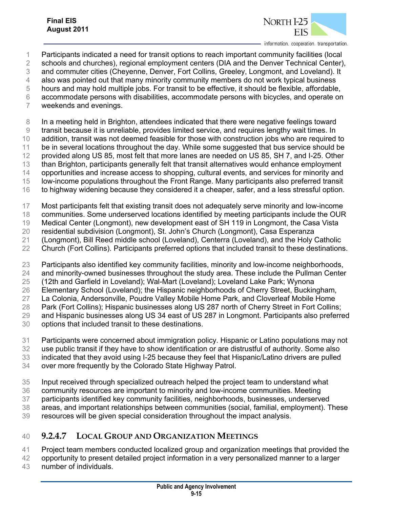

- Participants indicated a need for transit options to reach important community facilities (local
- schools and churches), regional employment centers (DIA and the Denver Technical Center),
- and commuter cities (Cheyenne, Denver, Fort Collins, Greeley, Longmont, and Loveland). It
- also was pointed out that many minority community members do not work typical business
- hours and may hold multiple jobs. For transit to be effective, it should be flexible, affordable,
- accommodate persons with disabilities, accommodate persons with bicycles, and operate on
- weekends and evenings.
- In a meeting held in Brighton, attendees indicated that there were negative feelings toward
- transit because it is unreliable, provides limited service, and requires lengthy wait times. In
- addition, transit was not deemed feasible for those with construction jobs who are required to
- be in several locations throughout the day. While some suggested that bus service should be
- 12 provided along US 85, most felt that more lanes are needed on US 85, SH 7, and I-25. Other
- than Brighton, participants generally felt that transit alternatives would enhance employment
- opportunities and increase access to shopping, cultural events, and services for minority and
- low-income populations throughout the Front Range. Many participants also preferred transit
- to highway widening because they considered it a cheaper, safer, and a less stressful option.
- Most participants felt that existing transit does not adequately serve minority and low-income
- communities. Some underserved locations identified by meeting participants include the OUR
- Medical Center (Longmont), new development east of SH 119 in Longmont, the Casa Vista
- residential subdivision (Longmont), St. John's Church (Longmont), Casa Esperanza
- (Longmont), Bill Reed middle school (Loveland), Centerra (Loveland), and the Holy Catholic
- Church (Fort Collins). Participants preferred options that included transit to these destinations.
- Participants also identified key community facilities, minority and low-income neighborhoods,
- and minority-owned businesses throughout the study area. These include the Pullman Center
- (12th and Garfield in Loveland); Wal-Mart (Loveland); Loveland Lake Park; Wynona
- Elementary School (Loveland); the Hispanic neighborhoods of Cherry Street, Buckingham,
- La Colonia, Andersonville, Poudre Valley Mobile Home Park, and Cloverleaf Mobile Home
- Park (Fort Collins); Hispanic businesses along US 287 north of Cherry Street in Fort Collins;
- and Hispanic businesses along US 34 east of US 287 in Longmont. Participants also preferred
- options that included transit to these destinations.
- Participants were concerned about immigration policy. Hispanic or Latino populations may not
- use public transit if they have to show identification or are distrustful of authority. Some also
- indicated that they avoid using I-25 because they feel that Hispanic/Latino drivers are pulled
- over more frequently by the Colorado State Highway Patrol.
- Input received through specialized outreach helped the project team to understand what
- community resources are important to minority and low-income communities. Meeting
- participants identified key community facilities, neighborhoods, businesses, underserved
- areas, and important relationships between communities (social, familial, employment). These
- resources will be given special consideration throughout the impact analysis.

# **9.2.4.7 LOCAL GROUP AND ORGANIZATION MEETINGS**

- Project team members conducted localized group and organization meetings that provided the
- opportunity to present detailed project information in a very personalized manner to a larger
- number of individuals.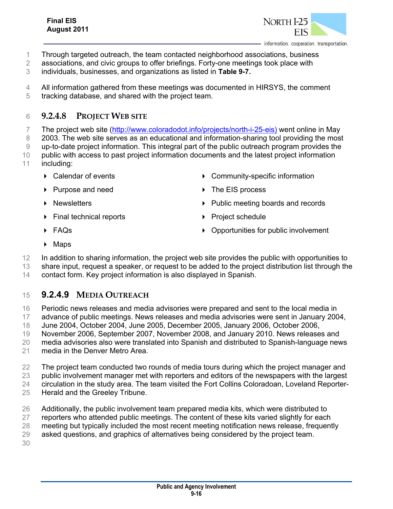

- Through targeted outreach, the team contacted neighborhood associations, business
- associations, and civic groups to offer briefings. Forty-one meetings took place with
- individuals, businesses, and organizations as listed in **Table 9-7.**
- All information gathered from these meetings was documented in HIRSYS, the comment
- tracking database, and shared with the project team.

### **9.2.4.8 PROJECT WEB SITE**

7 The project web site (http://www.coloradodot.info/projects/north-i-25-eis) went online in May

- 8 2003. The web site serves as an educational and information-sharing tool providing the most
- up-to-date project information. This integral part of the public outreach program provides the public with access to past project information documents and the latest project information
- including:
	-
	- ▶ Purpose and need **Department A** The EIS process
	-
	- ▶ Final technical reports **Acceleration** Project schedule
	- Calendar of events Community-specific information
		-
	- **Newsletters**  Public meeting boards and records
		-

- 
- FAQs Opportunities for public involvement
- $\triangleright$  Maps

12 In addition to sharing information, the project web site provides the public with opportunities to

 share input, request a speaker, or request to be added to the project distribution list through the contact form. Key project information is also displayed in Spanish.

## **9.2.4.9 MEDIA OUTREACH**

Periodic news releases and media advisories were prepared and sent to the local media in

advance of public meetings. News releases and media advisories were sent in January 2004,

June 2004, October 2004, June 2005, December 2005, January 2006, October 2006,

November 2006, September 2007, November 2008, and January 2010. News releases and

media advisories also were translated into Spanish and distributed to Spanish-language news

media in the Denver Metro Area.

The project team conducted two rounds of media tours during which the project manager and

public involvement manager met with reporters and editors of the newspapers with the largest

circulation in the study area. The team visited the Fort Collins Coloradoan, Loveland Reporter-

- Herald and the Greeley Tribune.
- Additionally, the public involvement team prepared media kits, which were distributed to
- 27 reporters who attended public meetings. The content of these kits varied slightly for each

meeting but typically included the most recent meeting notification news release, frequently

- asked questions, and graphics of alternatives being considered by the project team.
-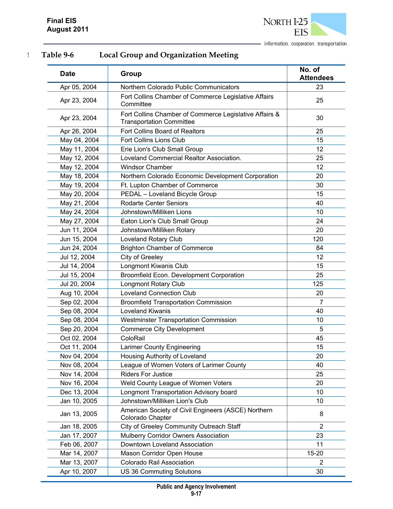

1 **Table 9-6 Local Group and Organization Meeting** 

| <b>Date</b>  | Group                                                                                     | No. of<br><b>Attendees</b> |
|--------------|-------------------------------------------------------------------------------------------|----------------------------|
| Apr 05, 2004 | Northern Colorado Public Communicators                                                    | 23                         |
| Apr 23, 2004 | Fort Collins Chamber of Commerce Legislative Affairs<br>Committee                         | 25                         |
| Apr 23, 2004 | Fort Collins Chamber of Commerce Legislative Affairs &<br><b>Transportation Committee</b> | 30                         |
| Apr 26, 2004 | Fort Collins Board of Realtors                                                            | 25                         |
| May 04, 2004 | Fort Collins Lions Club                                                                   | 15                         |
| May 11, 2004 | Erie Lion's Club Small Group                                                              | 12                         |
| May 12, 2004 | Loveland Commercial Realtor Association.                                                  | 25                         |
| May 12, 2004 | <b>Windsor Chamber</b>                                                                    | 12                         |
| May 18, 2004 | Northern Colorado Economic Development Corporation                                        | 20                         |
| May 19, 2004 | Ft. Lupton Chamber of Commerce                                                            | 30                         |
| May 20, 2004 | PEDAL - Loveland Bicycle Group                                                            | 15                         |
| May 21, 2004 | <b>Rodarte Center Seniors</b>                                                             | 40                         |
| May 24, 2004 | Johnstown/Milliken Lions                                                                  | 10                         |
| May 27, 2004 | Eaton Lion's Club Small Group                                                             | 24                         |
| Jun 11, 2004 | Johnstown/Milliken Rotary                                                                 | 20                         |
| Jun 15, 2004 | Loveland Rotary Club                                                                      | 120                        |
| Jun 24, 2004 | <b>Brighton Chamber of Commerce</b>                                                       | 84                         |
| Jul 12, 2004 | City of Greeley                                                                           | 12                         |
| Jul 14, 2004 | Longmont Kiwanis Club                                                                     | 15                         |
| Jul 15, 2004 | Broomfield Econ. Development Corporation                                                  | 25                         |
| Jul 20, 2004 | <b>Longmont Rotary Club</b>                                                               | 125                        |
| Aug 10, 2004 | <b>Loveland Connection Club</b>                                                           | 20                         |
| Sep 02, 2004 | <b>Broomfield Transportation Commission</b>                                               | $\overline{7}$             |
| Sep 08, 2004 | <b>Loveland Kiwanis</b>                                                                   | 40                         |
| Sep 08, 2004 | <b>Westminster Transportation Commission</b>                                              | 10                         |
| Sep 20, 2004 | <b>Commerce City Development</b>                                                          | 5                          |
| Oct 02, 2004 | ColoRail                                                                                  | 45                         |
| Oct 11, 2004 | Larimer County Engineering                                                                | 15                         |
| Nov 04, 2004 | Housing Authority of Loveland                                                             | 20                         |
| Nov 08, 2004 | League of Women Voters of Larimer County                                                  | 40                         |
| Nov 14, 2004 | <b>Riders For Justice</b>                                                                 | 25                         |
| Nov 16, 2004 | Weld County League of Women Voters                                                        | 20                         |
| Dec 13, 2004 | <b>Longmont Transportation Advisory board</b>                                             | 10                         |
| Jan 10, 2005 | Johnstown/Milliken Lion's Club                                                            | 10                         |
| Jan 13, 2005 | American Society of Civil Engineers (ASCE) Northern<br>Colorado Chapter                   | 8                          |
| Jan 18, 2005 | City of Greeley Community Outreach Staff                                                  | $\overline{2}$             |
| Jan 17, 2007 | Mulberry Corridor Owners Association                                                      | 23                         |
| Feb 06, 2007 | Downtown Loveland Association                                                             | 11                         |
| Mar 14, 2007 | Mason Corridor Open House                                                                 | $15 - 20$                  |
| Mar 13, 2007 | Colorado Rail Association                                                                 | $\overline{2}$             |
| Apr 10, 2007 | US 36 Commuting Solutions                                                                 | 30                         |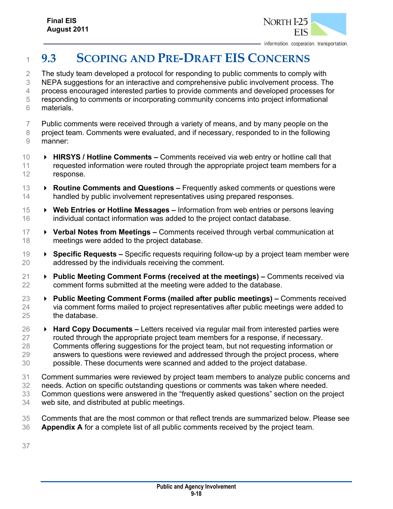

# **9.3 SCOPING AND PRE-DRAFT EIS CONCERNS**

 The study team developed a protocol for responding to public comments to comply with NEPA suggestions for an interactive and comprehensive public involvement process. The process encouraged interested parties to provide comments and developed processes for responding to comments or incorporating community concerns into project informational materials.

- Public comments were received through a variety of means, and by many people on the
- project team. Comments were evaluated, and if necessary, responded to in the following manner:
- **HIRSYS / Hotline Comments –** Comments received via web entry or hotline call that 11 requested information were routed through the appropriate project team members for a response.
- **Routine Comments and Questions** Frequently asked comments or questions were handled by public involvement representatives using prepared responses.
- **Web Entries or Hotline Messages** Information from web entries or persons leaving individual contact information was added to the project contact database.
- **Verbal Notes from Meetings –** Comments received through verbal communication at meetings were added to the project database.
- **Specific Requests** Specific requests requiring follow-up by a project team member were addressed by the individuals receiving the comment.
- **Public Meeting Comment Forms (received at the meetings)** Comments received via comment forms submitted at the meeting were added to the database.
- **Public Meeting Comment Forms (mailed after public meetings)** Comments received via comment forms mailed to project representatives after public meetings were added to the database.
- **Hard Copy Documents** Letters received via regular mail from interested parties were routed through the appropriate project team members for a response, if necessary. Comments offering suggestions for the project team, but not requesting information or answers to questions were reviewed and addressed through the project process, where possible. These documents were scanned and added to the project database.
- Comment summaries were reviewed by project team members to analyze public concerns and
- needs. Action on specific outstanding questions or comments was taken where needed.
- Common questions were answered in the "frequently asked questions" section on the project
- web site, and distributed at public meetings.
- Comments that are the most common or that reflect trends are summarized below. Please see **Appendix A** for a complete list of all public comments received by the project team.
-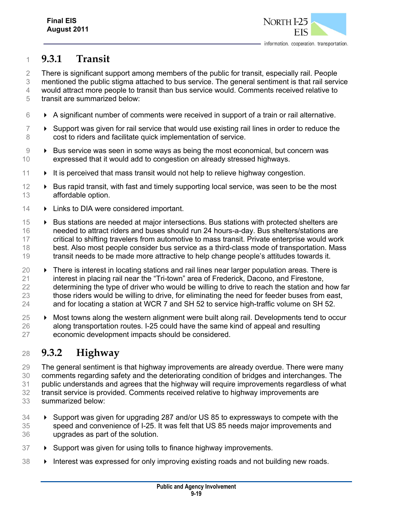

## **9.3.1 Transit**

There is significant support among members of the public for transit, especially rail. People

mentioned the public stigma attached to bus service. The general sentiment is that rail service

 would attract more people to transit than bus service would. Comments received relative to transit are summarized below:

- $6 \rightarrow A$  significant number of comments were received in support of a train or rail alternative.
- $7 \rightarrow$  Support was given for rail service that would use existing rail lines in order to reduce the cost to riders and facilitate quick implementation of service.
- Bus service was seen in some ways as being the most economical, but concern was expressed that it would add to congestion on already stressed highways.
- $11 \rightarrow$  It is perceived that mass transit would not help to relieve highway congestion.
- $12 \rightarrow$  Bus rapid transit, with fast and timely supporting local service, was seen to be the most affordable option.
- 14 > Links to DIA were considered important.
- 15 Bus stations are needed at major intersections. Bus stations with protected shelters are needed to attract riders and buses should run 24 hours-a-day. Bus shelters/stations are critical to shifting travelers from automotive to mass transit. Private enterprise would work best. Also most people consider bus service as a third-class mode of transportation. Mass transit needs to be made more attractive to help change people's attitudes towards it.
- $20 \rightarrow$  There is interest in locating stations and rail lines near larger population areas. There is interest in placing rail near the "Tri-town" area of Frederick, Dacono, and Firestone, 22 determining the type of driver who would be willing to drive to reach the station and how far those riders would be willing to drive, for eliminating the need for feeder buses from east, 24 and for locating a station at WCR 7 and SH 52 to service high-traffic volume on SH 52.
- 25 → Most towns along the western alignment were built along rail. Developments tend to occur along transportation routes. I-25 could have the same kind of appeal and resulting economic development impacts should be considered.

# **9.3.2 Highway**

 The general sentiment is that highway improvements are already overdue. There were many comments regarding safety and the deteriorating condition of bridges and interchanges. The public understands and agrees that the highway will require improvements regardless of what transit service is provided. Comments received relative to highway improvements are summarized below:

- Support was given for upgrading 287 and/or US 85 to expressways to compete with the speed and convenience of I-25. It was felt that US 85 needs major improvements and upgrades as part of the solution.
- 37 > Support was given for using tolls to finance highway improvements.
- 38 > Interest was expressed for only improving existing roads and not building new roads.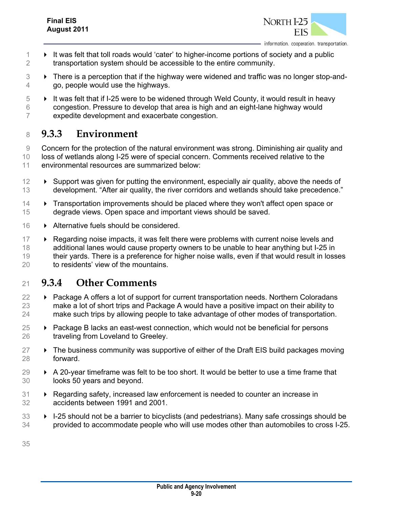

- 1 **If was felt that toll roads would 'cater' to higher-income portions of society and a public** transportation system should be accessible to the entire community.
- **EXECT:** There is a perception that if the highway were widened and traffic was no longer stop-and-go, people would use the highways.
- $5 \rightarrow$  It was felt that if I-25 were to be widened through Weld County, it would result in heavy congestion. Pressure to develop that area is high and an eight-lane highway would expedite development and exacerbate congestion.

## **9.3.3 Environment**

 Concern for the protection of the natural environment was strong. Diminishing air quality and loss of wetlands along I-25 were of special concern. Comments received relative to the environmental resources are summarized below:

- **Example 1** Support was given for putting the environment, especially air quality, above the needs of development. "After air quality, the river corridors and wetlands should take precedence."
- Transportation improvements should be placed where they won't affect open space or degrade views. Open space and important views should be saved.
- 16 Alternative fuels should be considered.
- **EXECT FIGULARY IS EXECT** FIGULARY REGARDING MEDUSIFY REGARDING MORE REPORTS And 17 additional lanes would cause property owners to be unable to hear anything but I-25 in their yards. There is a preference for higher noise walls, even if that would result in losses to residents' view of the mountains.

## **9.3.4 Other Comments**

- Package A offers a lot of support for current transportation needs. Northern Coloradans make a lot of short trips and Package A would have a positive impact on their ability to make such trips by allowing people to take advantage of other modes of transportation.
- $\rightarrow$  Package B lacks an east-west connection, which would not be beneficial for persons traveling from Loveland to Greeley.
- $27 \rightarrow$  The business community was supportive of either of the Draft EIS build packages moving forward.
- $29 \rightarrow A 20$ -year timeframe was felt to be too short. It would be better to use a time frame that looks 50 years and beyond.
- Regarding safety, increased law enforcement is needed to counter an increase in accidents between 1991 and 2001.
- **IF-25** should not be a barrier to bicyclists (and pedestrians). Many safe crossings should be provided to accommodate people who will use modes other than automobiles to cross I-25.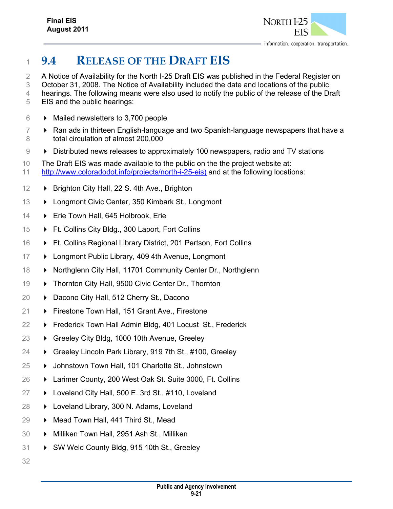

# **9.4 RELEASE OF THE DRAFT EIS**

A Notice of Availability for the North I-25 Draft EIS was published in the Federal Register on

October 31, 2008. The Notice of Availability included the date and locations of the public

- 4 hearings. The following means were also used to notify the public of the release of the Draft
- EIS and the public hearings:
- Mailed newsletters to 3,700 people
- $7 \rightarrow$  Ran ads in thirteen English-language and two Spanish-language newspapers that have a total circulation of almost 200,000
- Distributed news releases to approximately 100 newspapers, radio and TV stations
- The Draft EIS was made available to the public on the the project website at: http://www.coloradodot.info/projects/north-i-25-eis) and at the following locations:
- **Brighton City Hall, 22 S. 4th Ave., Brighton**
- **Example 21 Longmont Civic Center, 350 Kimbark St., Longmont**
- **Erie Town Hall, 645 Holbrook, Erie**
- **Ft. Collins City Bldg., 300 Laport, Fort Collins**
- **Ft. Collins Regional Library District, 201 Pertson, Fort Collins**
- **Example 20 Example 20 Figure 17 Example 20 Figure 20 Figure 20 Figure 20 Figure 20 Figure 20 Figure 20 Figure 20 Figure 20 Figure 20 Figure 20 Figure 20 Figure 20 Figure 20 Figure 20 Figure 20 Figure 20 Figure 20 Figur**
- **Northglenn City Hall, 11701 Community Center Dr., Northglenn**
- 19 > Thornton City Hall, 9500 Civic Center Dr., Thornton
- **▶ Dacono City Hall, 512 Cherry St., Dacono**
- **Firestone Town Hall, 151 Grant Ave., Firestone**
- 22 → Frederick Town Hall Admin Bldg, 401 Locust St., Frederick
- 23 → Greeley City Bldg, 1000 10th Avenue, Greeley
- 24 → Greeley Lincoln Park Library, 919 7th St., #100, Greeley
- 25 → Johnstown Town Hall, 101 Charlotte St., Johnstown
- Larimer County, 200 West Oak St. Suite 3000, Ft. Collins
- Loveland City Hall, 500 E. 3rd St., #110, Loveland
- Loveland Library, 300 N. Adams, Loveland
- **Mead Town Hall, 441 Third St., Mead**
- Milliken Town Hall, 2951 Ash St., Milliken
- 31 > SW Weld County Bldg, 915 10th St., Greeley
-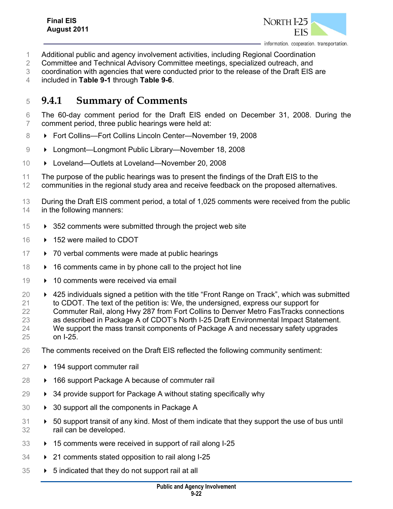

- Additional public and agency involvement activities, including Regional Coordination
- 2 Committee and Technical Advisory Committee meetings, specialized outreach, and
- coordination with agencies that were conducted prior to the release of the Draft EIS are
- included in **Table 9-1** through **Table 9-6**.

## **9.4.1 Summary of Comments**

- The 60-day comment period for the Draft EIS ended on December 31, 2008. During the comment period, three public hearings were held at:
- **Fort Collins—Fort Collins Lincoln Center—November 19, 2008**
- **Demanue Longmont Public Library—November 18, 2008**
- **D** Loveland—Outlets at Loveland—November 20, 2008
- The purpose of the public hearings was to present the findings of the Draft EIS to the
- communities in the regional study area and receive feedback on the proposed alternatives.
- 13 During the Draft EIS comment period, a total of 1,025 comments were received from the public in the following manners:
- $15 \rightarrow 352$  comments were submitted through the project web site
- 152 were mailed to CDOT
- 17 > 70 verbal comments were made at public hearings
- **16 comments came in by phone call to the project hot line**
- 10 comments were received via email
- 425 individuals signed a petition with the title "Front Range on Track", which was submitted to CDOT. The text of the petition is: We, the undersigned, express our support for Commuter Rail, along Hwy 287 from Fort Collins to Denver Metro FasTracks connections as described in Package A of CDOT's North I-25 Draft Environmental Impact Statement. We support the mass transit components of Package A and necessary safety upgrades on I-25.
- The comments received on the Draft EIS reflected the following community sentiment:
- 194 support commuter rail
- **→** 166 support Package A because of commuter rail
- $29 \rightarrow 34$  provide support for Package A without stating specifically why
- 30 > 30 support all the components in Package A
- 50 support transit of any kind. Most of them indicate that they support the use of bus until rail can be developed.
- **15 comments were received in support of rail along I-25**
- 21 comments stated opposition to rail along I-25
- $35 \rightarrow 5$  indicated that they do not support rail at all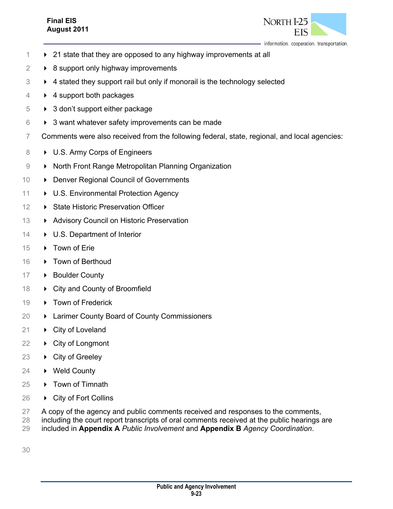#### **Final EIS August 2011**



information. cooperation. transportation.

- $1 \rightarrow 21$  state that they are opposed to any highway improvements at all
- $2 \rightarrow 8$  support only highway improvements
- $3 \rightarrow 4$  stated they support rail but only if monorail is the technology selected
- 4 **+ 4 support both packages**
- $5 \rightarrow 3$  don't support either package
- $6 \rightarrow 3$  want whatever safety improvements can be made
- 7 Comments were also received from the following federal, state, regional, and local agencies:
- 8 U.S. Army Corps of Engineers
- 9  **North Front Range Metropolitan Planning Organization**
- 10 Denver Regional Council of Governments
- 11  **U.S. Environmental Protection Agency**
- 12 **B** State Historic Preservation Officer
- 13 Advisory Council on Historic Preservation
- 14 U.S. Department of Interior
- 15 Town of Erie
- 16 Town of Berthoud
- 17 Boulder County
- 18  $\rightarrow$  City and County of Broomfield
- 19 → Town of Frederick
- 20 **Example 20 Exercise 20 Exercise 20 Larimer County Board of County Commissioners**
- 21 **►** City of Loveland
- 22 **►** City of Longmont
- 23 ▶ City of Greeley
- 24 **▶ Weld County**
- 25 ▶ Town of Timnath
- 26 **►** City of Fort Collins
- 27 A copy of the agency and public comments received and responses to the comments,
- 28 including the court report transcripts of oral comments received at the public hearings are
- 29 included in **Appendix A** *Public Involvement* and **Appendix B** *Agency Coordination*.
- 30